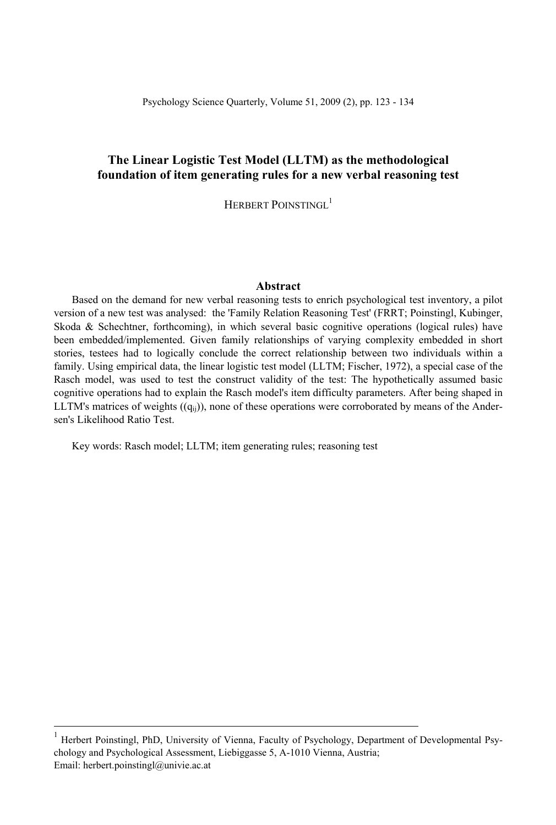## **The Linear Logistic Test Model (LLTM) as the methodological foundation of item generating rules for a new verbal reasoning test**

HERBERT POINSTINGL<sup>1</sup>

#### **Abstract**

Based on the demand for new verbal reasoning tests to enrich psychological test inventory, a pilot version of a new test was analysed: the 'Family Relation Reasoning Test' (FRRT; Poinstingl, Kubinger, Skoda & Schechtner, forthcoming), in which several basic cognitive operations (logical rules) have been embedded/implemented. Given family relationships of varying complexity embedded in short stories, testees had to logically conclude the correct relationship between two individuals within a family. Using empirical data, the linear logistic test model (LLTM; Fischer, 1972), a special case of the Rasch model, was used to test the construct validity of the test: The hypothetically assumed basic cognitive operations had to explain the Rasch model's item difficulty parameters. After being shaped in LLTM's matrices of weights  $((q_{ii}))$ , none of these operations were corroborated by means of the Andersen's Likelihood Ratio Test.

Key words: Rasch model; LLTM; item generating rules; reasoning test

<sup>|&</sup>lt;br>| Herbert Poinstingl, PhD, University of Vienna, Faculty of Psychology, Department of Developmental Psychology and Psychological Assessment, Liebiggasse 5, A-1010 Vienna, Austria; Email: herbert.poinstingl@univie.ac.at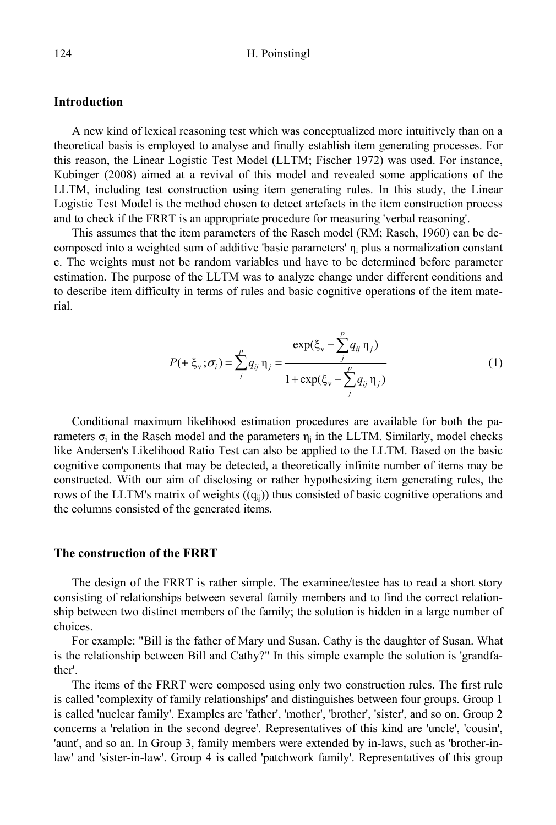### **Introduction**

A new kind of lexical reasoning test which was conceptualized more intuitively than on a theoretical basis is employed to analyse and finally establish item generating processes. For this reason, the Linear Logistic Test Model (LLTM; Fischer 1972) was used. For instance, Kubinger (2008) aimed at a revival of this model and revealed some applications of the LLTM, including test construction using item generating rules. In this study, the Linear Logistic Test Model is the method chosen to detect artefacts in the item construction process and to check if the FRRT is an appropriate procedure for measuring 'verbal reasoning'.

This assumes that the item parameters of the Rasch model (RM; Rasch, 1960) can be decomposed into a weighted sum of additive 'basic parameters'  $\eta_i$  plus a normalization constant c. The weights must not be random variables und have to be determined before parameter estimation. The purpose of the LLTM was to analyze change under different conditions and to describe item difficulty in terms of rules and basic cognitive operations of the item material.

$$
P(+|\xi_{\rm v};\sigma_i) = \sum_{j}^{p} q_{ij} \eta_j = \frac{\exp(\xi_{\rm v} - \sum_{j}^{p} q_{ij} \eta_j)}{1 + \exp(\xi_{\rm v} - \sum_{j}^{p} q_{ij} \eta_j)}
$$
(1)

Conditional maximum likelihood estimation procedures are available for both the parameters  $\sigma_i$  in the Rasch model and the parameters  $\eta_i$  in the LLTM. Similarly, model checks like Andersen's Likelihood Ratio Test can also be applied to the LLTM. Based on the basic cognitive components that may be detected, a theoretically infinite number of items may be constructed. With our aim of disclosing or rather hypothesizing item generating rules, the rows of the LLTM's matrix of weights  $((q_{ii}))$  thus consisted of basic cognitive operations and the columns consisted of the generated items.

#### **The construction of the FRRT**

The design of the FRRT is rather simple. The examinee/testee has to read a short story consisting of relationships between several family members and to find the correct relationship between two distinct members of the family; the solution is hidden in a large number of choices.

For example: "Bill is the father of Mary und Susan. Cathy is the daughter of Susan. What is the relationship between Bill and Cathy?" In this simple example the solution is 'grandfather'.

The items of the FRRT were composed using only two construction rules. The first rule is called 'complexity of family relationships' and distinguishes between four groups. Group 1 is called 'nuclear family'. Examples are 'father', 'mother', 'brother', 'sister', and so on. Group 2 concerns a 'relation in the second degree'. Representatives of this kind are 'uncle', 'cousin', 'aunt', and so an. In Group 3, family members were extended by in-laws, such as 'brother-inlaw' and 'sister-in-law'. Group 4 is called 'patchwork family'. Representatives of this group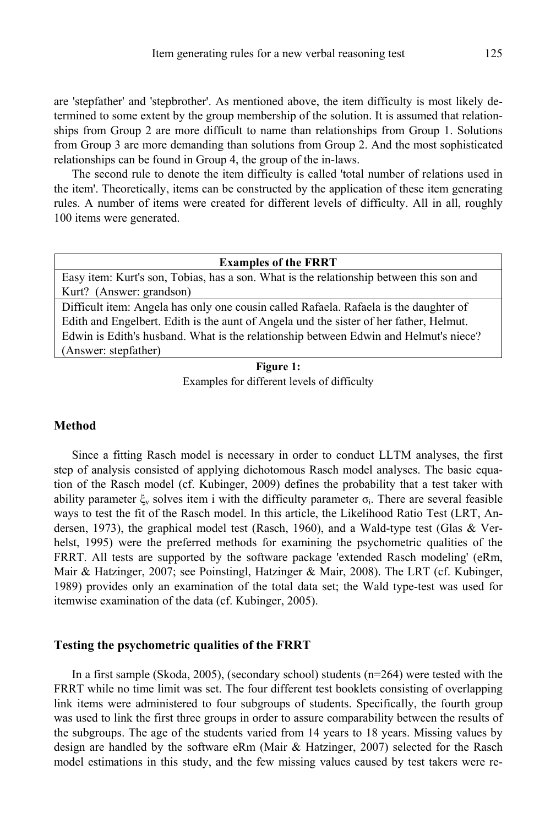are 'stepfather' and 'stepbrother'. As mentioned above, the item difficulty is most likely determined to some extent by the group membership of the solution. It is assumed that relationships from Group 2 are more difficult to name than relationships from Group 1. Solutions from Group 3 are more demanding than solutions from Group 2. And the most sophisticated relationships can be found in Group 4, the group of the in-laws.

The second rule to denote the item difficulty is called 'total number of relations used in the item'. Theoretically, items can be constructed by the application of these item generating rules. A number of items were created for different levels of difficulty. All in all, roughly 100 items were generated.

#### **Examples of the FRRT**

Easy item: Kurt's son, Tobias, has a son. What is the relationship between this son and Kurt? (Answer: grandson)

Difficult item: Angela has only one cousin called Rafaela. Rafaela is the daughter of Edith and Engelbert. Edith is the aunt of Angela und the sister of her father, Helmut. Edwin is Edith's husband. What is the relationship between Edwin and Helmut's niece? (Answer: stepfather)

**Figure 1:** Examples for different levels of difficulty

### **Method**

Since a fitting Rasch model is necessary in order to conduct LLTM analyses, the first step of analysis consisted of applying dichotomous Rasch model analyses. The basic equation of the Rasch model (cf. Kubinger, 2009) defines the probability that a test taker with ability parameter  $\xi$ , solves item i with the difficulty parameter  $\sigma$ . There are several feasible ways to test the fit of the Rasch model. In this article, the Likelihood Ratio Test (LRT, Andersen, 1973), the graphical model test (Rasch, 1960), and a Wald-type test (Glas & Verhelst, 1995) were the preferred methods for examining the psychometric qualities of the FRRT. All tests are supported by the software package 'extended Rasch modeling' (eRm, Mair & Hatzinger, 2007; see Poinstingl, Hatzinger & Mair, 2008). The LRT (cf. Kubinger, 1989) provides only an examination of the total data set; the Wald type-test was used for itemwise examination of the data (cf. Kubinger, 2005).

#### **Testing the psychometric qualities of the FRRT**

In a first sample (Skoda, 2005), (secondary school) students (n=264) were tested with the FRRT while no time limit was set. The four different test booklets consisting of overlapping link items were administered to four subgroups of students. Specifically, the fourth group was used to link the first three groups in order to assure comparability between the results of the subgroups. The age of the students varied from 14 years to 18 years. Missing values by design are handled by the software eRm (Mair & Hatzinger, 2007) selected for the Rasch model estimations in this study, and the few missing values caused by test takers were re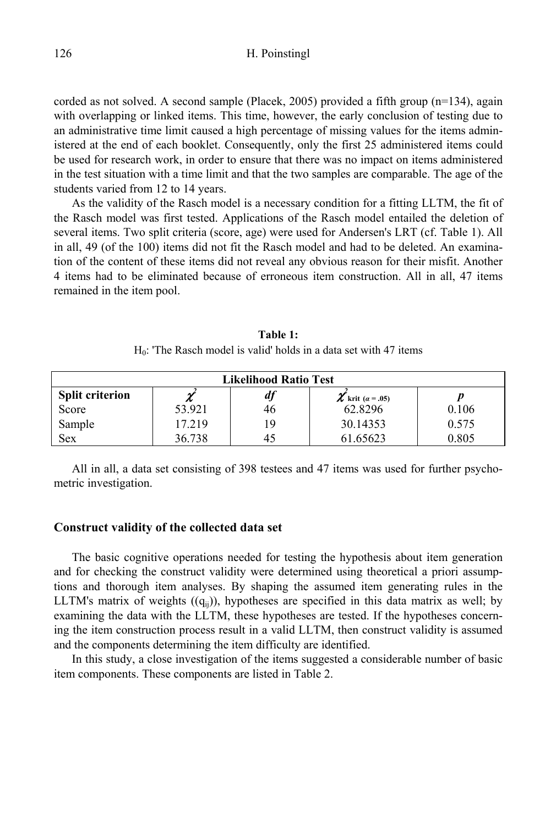corded as not solved. A second sample (Placek, 2005) provided a fifth group  $(n=134)$ , again with overlapping or linked items. This time, however, the early conclusion of testing due to an administrative time limit caused a high percentage of missing values for the items administered at the end of each booklet. Consequently, only the first 25 administered items could be used for research work, in order to ensure that there was no impact on items administered in the test situation with a time limit and that the two samples are comparable. The age of the students varied from 12 to 14 years.

As the validity of the Rasch model is a necessary condition for a fitting LLTM, the fit of the Rasch model was first tested. Applications of the Rasch model entailed the deletion of several items. Two split criteria (score, age) were used for Andersen's LRT (cf. Table 1). All in all, 49 (of the 100) items did not fit the Rasch model and had to be deleted. An examination of the content of these items did not reveal any obvious reason for their misfit. Another 4 items had to be eliminated because of erroneous item construction. All in all, 47 items remained in the item pool.

| <b>Likelihood Ratio Test</b> |        |    |                       |       |  |  |  |  |
|------------------------------|--------|----|-----------------------|-------|--|--|--|--|
| <b>Split criterion</b>       |        | df | $\chi$ krit (a = .05) |       |  |  |  |  |
| Score                        | 53.921 | 46 | 62.8296               | 0.106 |  |  |  |  |
| Sample                       | 17.219 | 19 | 30.14353              | 0.575 |  |  |  |  |
| Sex                          | 36.738 | 45 | 61.65623              | 0.805 |  |  |  |  |

**Table 1:**   $H<sub>0</sub>$ : 'The Rasch model is valid' holds in a data set with 47 items

All in all, a data set consisting of 398 testees and 47 items was used for further psychometric investigation.

#### **Construct validity of the collected data set**

The basic cognitive operations needed for testing the hypothesis about item generation and for checking the construct validity were determined using theoretical a priori assumptions and thorough item analyses. By shaping the assumed item generating rules in the LLTM's matrix of weights  $((q_{ii}))$ , hypotheses are specified in this data matrix as well; by examining the data with the LLTM, these hypotheses are tested. If the hypotheses concerning the item construction process result in a valid LLTM, then construct validity is assumed and the components determining the item difficulty are identified.

In this study, a close investigation of the items suggested a considerable number of basic item components. These components are listed in Table 2.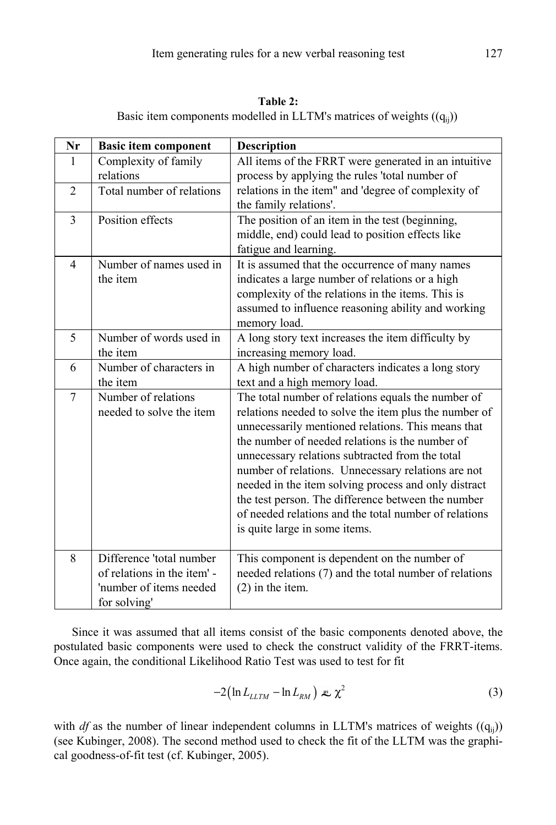**Table 2:**  Basic item components modelled in LLTM's matrices of weights  $((q_{ij}))$ 

| Nr             | <b>Basic item component</b> | <b>Description</b>                                     |
|----------------|-----------------------------|--------------------------------------------------------|
| 1              | Complexity of family        | All items of the FRRT were generated in an intuitive   |
|                | relations                   | process by applying the rules 'total number of         |
| $\overline{2}$ | Total number of relations   | relations in the item" and 'degree of complexity of    |
|                |                             | the family relations'.                                 |
| $\overline{3}$ | Position effects            | The position of an item in the test (beginning,        |
|                |                             | middle, end) could lead to position effects like       |
|                |                             | fatigue and learning.                                  |
| $\overline{4}$ | Number of names used in     | It is assumed that the occurrence of many names        |
|                | the item                    | indicates a large number of relations or a high        |
|                |                             | complexity of the relations in the items. This is      |
|                |                             | assumed to influence reasoning ability and working     |
|                |                             | memory load.                                           |
| 5              | Number of words used in     | A long story text increases the item difficulty by     |
|                | the item                    | increasing memory load.                                |
| 6              | Number of characters in     | A high number of characters indicates a long story     |
|                | the item                    | text and a high memory load.                           |
| $\overline{7}$ | Number of relations         | The total number of relations equals the number of     |
|                | needed to solve the item    | relations needed to solve the item plus the number of  |
|                |                             | unnecessarily mentioned relations. This means that     |
|                |                             | the number of needed relations is the number of        |
|                |                             | unnecessary relations subtracted from the total        |
|                |                             | number of relations. Unnecessary relations are not     |
|                |                             | needed in the item solving process and only distract   |
|                |                             | the test person. The difference between the number     |
|                |                             | of needed relations and the total number of relations  |
|                |                             | is quite large in some items.                          |
|                |                             |                                                        |
| 8              | Difference 'total number    | This component is dependent on the number of           |
|                | of relations in the item' - | needed relations (7) and the total number of relations |
|                | 'number of items needed     | $(2)$ in the item.                                     |
|                | for solving'                |                                                        |

Since it was assumed that all items consist of the basic components denoted above, the postulated basic components were used to check the construct validity of the FRRT-items. Once again, the conditional Likelihood Ratio Test was used to test for fit

$$
-2\left(\ln L_{LLTM} - \ln L_{RM}\right) \approx \chi^2 \tag{3}
$$

with *df* as the number of linear independent columns in LLTM's matrices of weights  $((q_{ii}))$ (see Kubinger, 2008). The second method used to check the fit of the LLTM was the graphical goodness-of-fit test (cf. Kubinger, 2005).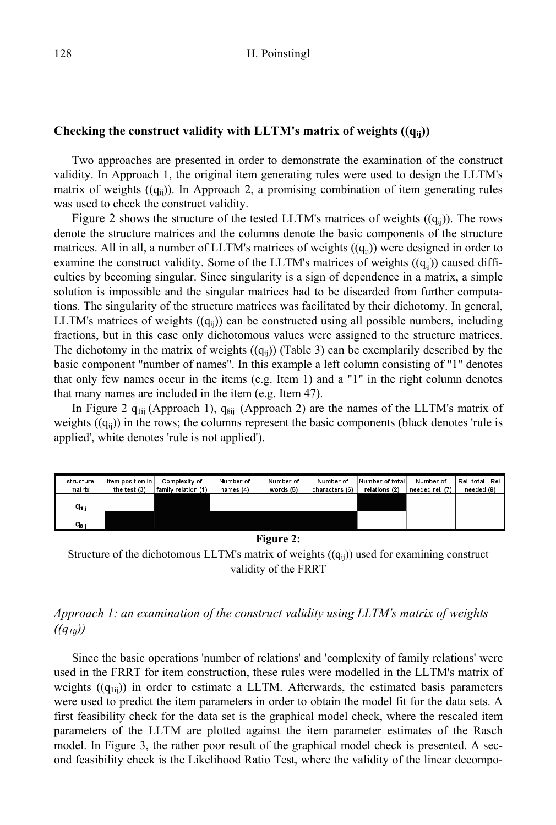#### **Checking the construct validity with LLTM's matrix of weights ((qij))**

Two approaches are presented in order to demonstrate the examination of the construct validity. In Approach 1, the original item generating rules were used to design the LLTM's matrix of weights  $((q_{ii}))$ . In Approach 2, a promising combination of item generating rules was used to check the construct validity.

Figure 2 shows the structure of the tested LLTM's matrices of weights  $((q_{ii}))$ . The rows denote the structure matrices and the columns denote the basic components of the structure matrices. All in all, a number of LLTM's matrices of weights  $((q_{ii}))$  were designed in order to examine the construct validity. Some of the LLTM's matrices of weights  $((q_{ii}))$  caused difficulties by becoming singular. Since singularity is a sign of dependence in a matrix, a simple solution is impossible and the singular matrices had to be discarded from further computations. The singularity of the structure matrices was facilitated by their dichotomy. In general, LLTM's matrices of weights  $((q_{ii}))$  can be constructed using all possible numbers, including fractions, but in this case only dichotomous values were assigned to the structure matrices. The dichotomy in the matrix of weights  $((q_{ii}))$  (Table 3) can be exemplarily described by the basic component "number of names". In this example a left column consisting of "1" denotes that only few names occur in the items (e.g. Item 1) and a "1" in the right column denotes that many names are included in the item (e.g. Item 47).

In Figure 2  $q_{1ii}$  (Approach 1),  $q_{8ii}$  (Approach 2) are the names of the LLTM's matrix of weights  $((q<sub>ii</sub>))$  in the rows; the columns represent the basic components (black denotes 'rule is applied', white denotes 'rule is not applied').



**Figure 2:**

Structure of the dichotomous LLTM's matrix of weights  $((q_{ii}))$  used for examining construct validity of the FRRT

# *Approach 1: an examination of the construct validity using LLTM's matrix of weights*   $((q_{1ii}))$

Since the basic operations 'number of relations' and 'complexity of family relations' were used in the FRRT for item construction, these rules were modelled in the LLTM's matrix of weights  $((q_{1ii}))$  in order to estimate a LLTM. Afterwards, the estimated basis parameters were used to predict the item parameters in order to obtain the model fit for the data sets. A first feasibility check for the data set is the graphical model check, where the rescaled item parameters of the LLTM are plotted against the item parameter estimates of the Rasch model. In Figure 3, the rather poor result of the graphical model check is presented. A second feasibility check is the Likelihood Ratio Test, where the validity of the linear decompo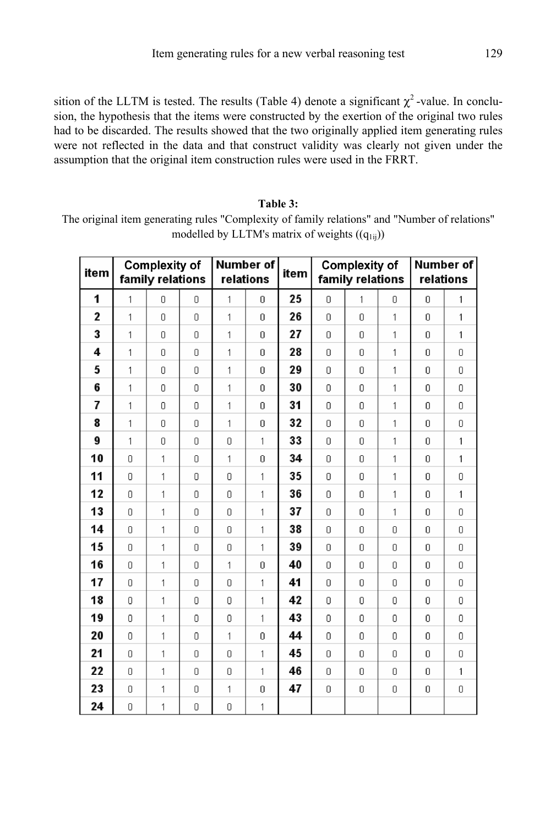sition of the LLTM is tested. The results (Table 4) denote a significant  $\chi^2$ -value. In conclusion, the hypothesis that the items were constructed by the exertion of the original two rules had to be discarded. The results showed that the two originally applied item generating rules were not reflected in the data and that construct validity was clearly not given under the assumption that the original item construction rules were used in the FRRT.

## **Table 3:**

The original item generating rules "Complexity of family relations" and "Number of relations" modelled by LLTM's matrix of weights  $((q_{1ii}))$ 

| item         |                                        | <b>Complexity of</b><br>family relations |                |   | Number of<br>relations | item |          | <b>Complexity of</b><br>family relations | Number of<br>relations |   |              |
|--------------|----------------------------------------|------------------------------------------|----------------|---|------------------------|------|----------|------------------------------------------|------------------------|---|--------------|
| 1            | 1                                      | 0                                        | n.             | 1 | 0                      | 25   | 0        | 1                                        | 0                      | 0 | 1            |
| $\mathbf{2}$ | 1                                      | 0                                        | 0              | 1 | 0                      | 26   | $\Omega$ | 0                                        | 1                      | 0 | $\mathbf{1}$ |
| 3            | 1                                      | n.                                       | 0              | 1 | 0                      | 27   | 0        | 0                                        | 1                      | 0 | $\mathbf{1}$ |
| 4            | 1                                      | 0                                        | 0              | 1 | 0                      | 28   | 0        | 0                                        | 1                      | 0 | 0            |
| 5            | 1                                      | 0                                        | 0              | 1 | 0                      | 29   | 0        | 0                                        | 1                      | 0 | 0            |
| 6            | 1                                      | 0                                        | 0              | 1 | 0                      | 30   | n        | 0                                        | $\mathbf{1}$           | 0 | 0            |
| 7            | 1                                      | 0                                        | 0              | 1 | 0                      | 31   | 0        | 0                                        | 1                      | 0 | 0            |
| 8            | 1                                      | 0                                        | 0              | 1 | 0                      | 32   | Ω        | 0                                        | 1                      | 0 | 0            |
| 9            | 1                                      | 0                                        | 0              | 0 | 1                      | 33   | 0        | 0                                        | 1                      | 0 | $\mathbf{1}$ |
| 10           | $\begin{array}{c} \n\end{array}$       | 1                                        | 0              | 1 | 0                      | 34   | 0        | 0                                        | 1                      | 0 | $\mathbf{1}$ |
| 11           | $\Omega$                               | 1                                        | Ū.             | 0 | 1                      | 35   | $\Omega$ | $\Box$                                   | 1                      | 0 | 0            |
| 12           | 0                                      | 1                                        | 0              | 0 | 1                      | 36   | 0        | 0                                        | 1                      | 0 | $\mathbf{1}$ |
| 13           | 0                                      | 1                                        | 0              | 0 | 1                      | 37   | 0        | 0                                        | 1                      | 0 | 0            |
| 14           | 0                                      | 1                                        | 0              | 0 | 1                      | 38   | $\Box$   | $\Box$                                   | 0                      | 0 | 0            |
| 15           | 0                                      | 1                                        | 0              | 0 | 1                      | 39   | $\Box$   | $\Box$                                   | 0                      | 0 | 0            |
| 16           | 0                                      | 1                                        | 0              | 1 | 0                      | 40   | 0        | 0                                        | 0                      | 0 | 0            |
| 17           | $\begin{array}{c} \square \end{array}$ | 1                                        | 0              | 0 | 1                      | 41   | $\Box$   | $\Box$                                   | 0                      | 0 | 0            |
| 18           | $\overline{0}$                         | 1                                        | 0              | 0 | 1                      | 42   | 0        | 0                                        | 0                      | 0 | 0            |
| 19           | 0                                      | 1                                        | 0              | 0 | 1                      | 43   | 0        | 0                                        | 0                      | 0 | 0            |
| 20           | 0                                      | 1                                        | 0              | 1 | 0                      | 44   | 0        | 0                                        | 0                      | 0 | 0            |
| 21           | 0                                      | 1                                        | 0              | 0 | 1                      | 45   | Ω        | 0                                        | 0                      | 0 | 0            |
| 22           | 0                                      | 1                                        | 0              | 0 | 1                      | 46   | 0        | 0                                        | 0                      | 0 | $\mathbf{1}$ |
| 23           | $\Box$                                 | 1                                        | 0              | 1 | 0                      | 47   | $\Box$   | O                                        | 0                      | 0 | 0            |
| 24           | $\overline{0}$                         | 1                                        | $\overline{0}$ | 0 | 1                      |      |          |                                          |                        |   |              |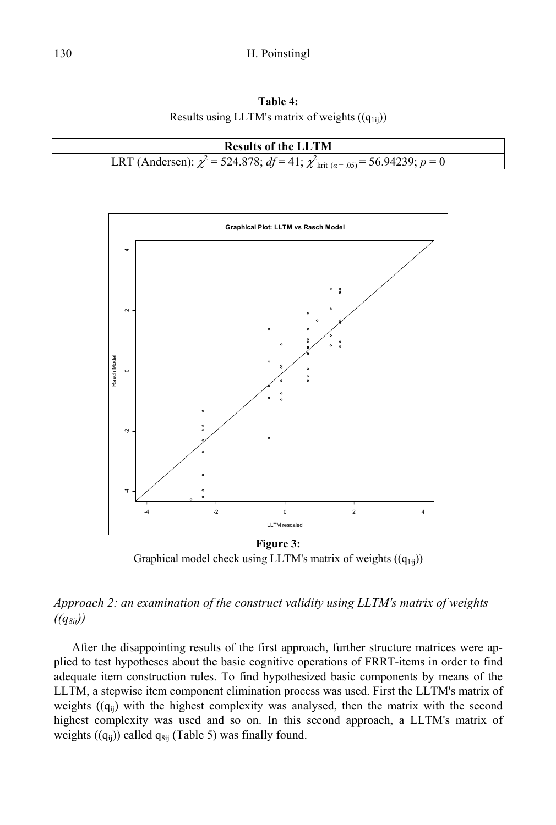**Table 4:**  Results using LLTM's matrix of weights  $((q_{1ij}))$ 





Graphical model check using LLTM's matrix of weights  $((q_{1ii}))$ 

# *Approach 2: an examination of the construct validity using LLTM's matrix of weights*   $((q_{8ii}))$

After the disappointing results of the first approach, further structure matrices were applied to test hypotheses about the basic cognitive operations of FRRT-items in order to find adequate item construction rules. To find hypothesized basic components by means of the LLTM, a stepwise item component elimination process was used. First the LLTM's matrix of weights  $((q_{ii})$  with the highest complexity was analysed, then the matrix with the second highest complexity was used and so on. In this second approach, a LLTM's matrix of weights  $((q_{ii}))$  called  $q_{8ii}$  (Table 5) was finally found.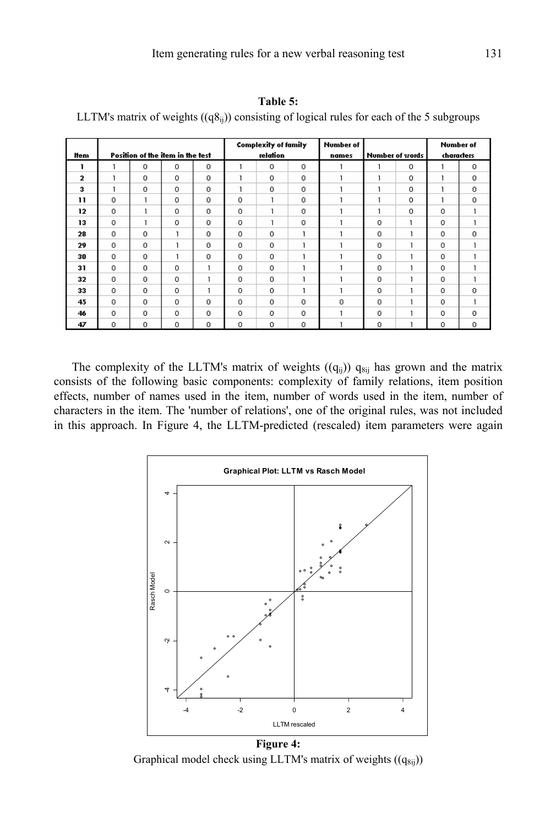|              |             |                                  |          |         |            | <b>Complexity of family</b> |          | <b>Number of</b> |                 |         |                                |          |
|--------------|-------------|----------------------------------|----------|---------|------------|-----------------------------|----------|------------------|-----------------|---------|--------------------------------|----------|
| ltem         |             | Position of the item in the test |          |         |            | relation                    |          | names            | Number of words |         | <b>Number of</b><br>characters |          |
|              |             |                                  |          |         |            |                             |          |                  |                 |         |                                |          |
| ı            |             | 0                                | 0        | 0       |            | $\circ$                     | $\circ$  |                  |                 | 0       |                                | 0        |
| $\mathbf 2$  |             | 0                                | $\circ$  | $\circ$ |            | $\circ$                     | 0        |                  |                 | $\circ$ |                                | 0        |
| 3            |             | $\circ$                          | $\circ$  | $\circ$ |            | $\circ$                     | $\circ$  |                  |                 | $\circ$ |                                | 0        |
| $\mathbf{1}$ | $\Omega$    |                                  | $\Omega$ | 0       | 0          | ۶                           | 0        |                  |                 | $\circ$ |                                | 0        |
| 12           | $\circ$     |                                  | 0        | 0       | 0          |                             | 0        |                  |                 | 0       | 0                              |          |
| 13           | $\circ$     |                                  | $\circ$  | $\circ$ | $\Omega$   |                             | $\circ$  |                  | $\circ$         |         | $\circ$                        |          |
| 28           | $\circ$     | 0                                |          | 0       | $\Omega$   | $\Omega$                    |          |                  | $\circ$         |         | $\Omega$                       | $\circ$  |
| 29           | $\Omega$    | $\circ$                          |          | 0       | $\Omega$   | $\circ$                     |          |                  | $\circ$         |         | $\Omega$                       |          |
| 30           | $\Omega$    | 0                                |          | 0       | $^{\circ}$ | $\Omega$                    |          |                  | 0               |         | 0                              |          |
| 31           | $^{\circ}$  | 0                                | 0        |         | $\circ$    | $\circ$                     |          |                  | 0               |         | 0                              |          |
| 32           | $\mathbf 0$ | 0                                | $\Omega$ |         | $\Omega$   | $\circ$                     | 1        |                  | 0               |         | 0.                             |          |
| 33           | $\circ$     | 0                                | $\circ$  |         | 0          | $\circ$                     |          |                  | 0               |         | 0                              | 0        |
| 45           | $\Omega$    | 0                                | $\Omega$ | 0.      | 0.         | $\circ$                     | $\circ$  | 0                | $\circ$         |         | 0.                             |          |
| 46           | 0           | 0                                | $\circ$  | 0       | 0          | $\circ$                     | 0        |                  | 0               |         | 0                              | 0        |
| 47           | n.          | 0                                | 0        | 0       | $\Omega$   | O.                          | $\Omega$ |                  | $\Omega$        |         | $\Omega$                       | $\Omega$ |

**Table 5:** 

LLTM's matrix of weights  $((q8_{ii}))$  consisting of logical rules for each of the 5 subgroups

The complexity of the LLTM's matrix of weights  $((q_{ij}))$   $q_{8ij}$  has grown and the matrix consists of the following basic components: complexity of family relations, item position effects, number of names used in the item, number of words used in the item, number of characters in the item. The 'number of relations', one of the original rules, was not included in this approach. In Figure 4, the LLTM-predicted (rescaled) item parameters were again



Graphical model check using LLTM's matrix of weights  $((q_{8ij}))$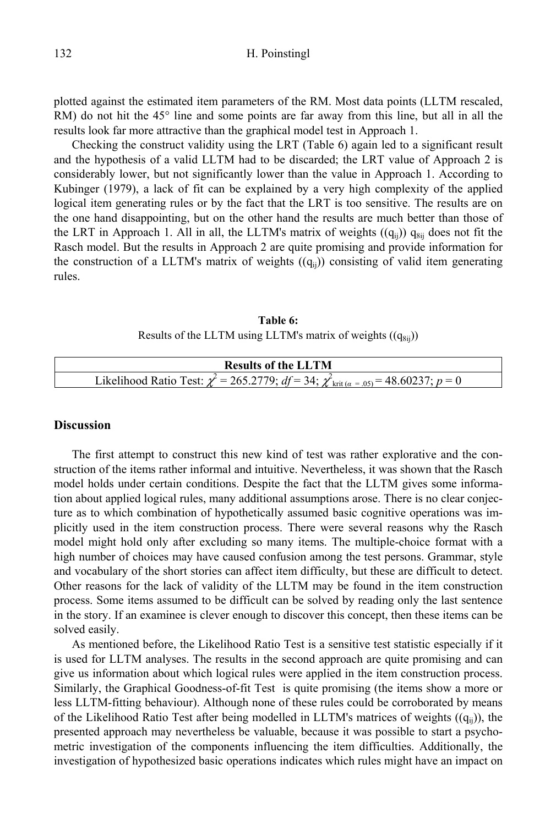plotted against the estimated item parameters of the RM. Most data points (LLTM rescaled, RM) do not hit the 45° line and some points are far away from this line, but all in all the results look far more attractive than the graphical model test in Approach 1.

Checking the construct validity using the LRT (Table 6) again led to a significant result and the hypothesis of a valid LLTM had to be discarded; the LRT value of Approach 2 is considerably lower, but not significantly lower than the value in Approach 1. According to Kubinger (1979), a lack of fit can be explained by a very high complexity of the applied logical item generating rules or by the fact that the LRT is too sensitive. The results are on the one hand disappointing, but on the other hand the results are much better than those of the LRT in Approach 1. All in all, the LLTM's matrix of weights  $((q_{ii}))$   $q_{8ii}$  does not fit the Rasch model. But the results in Approach 2 are quite promising and provide information for the construction of a LLTM's matrix of weights  $((q_{ii}))$  consisting of valid item generating rules.

**Table 6:**  Results of the LLTM using LLTM's matrix of weights  $((q_{8ii}))$ 

| <b>Results of the LLTM</b>                                                                                        |
|-------------------------------------------------------------------------------------------------------------------|
| Likelihood Ratio Test: $\chi^2$ = 265.2779; $df$ = 34; $\chi^2_{\text{krit } (\alpha = .05)}$ = 48.60237; $p = 0$ |

## **Discussion**

The first attempt to construct this new kind of test was rather explorative and the construction of the items rather informal and intuitive. Nevertheless, it was shown that the Rasch model holds under certain conditions. Despite the fact that the LLTM gives some information about applied logical rules, many additional assumptions arose. There is no clear conjecture as to which combination of hypothetically assumed basic cognitive operations was implicitly used in the item construction process. There were several reasons why the Rasch model might hold only after excluding so many items. The multiple-choice format with a high number of choices may have caused confusion among the test persons. Grammar, style and vocabulary of the short stories can affect item difficulty, but these are difficult to detect. Other reasons for the lack of validity of the LLTM may be found in the item construction process. Some items assumed to be difficult can be solved by reading only the last sentence in the story. If an examinee is clever enough to discover this concept, then these items can be solved easily.

As mentioned before, the Likelihood Ratio Test is a sensitive test statistic especially if it is used for LLTM analyses. The results in the second approach are quite promising and can give us information about which logical rules were applied in the item construction process. Similarly, the Graphical Goodness-of-fit Test is quite promising (the items show a more or less LLTM-fitting behaviour). Although none of these rules could be corroborated by means of the Likelihood Ratio Test after being modelled in LLTM's matrices of weights  $((q_{ii}))$ , the presented approach may nevertheless be valuable, because it was possible to start a psychometric investigation of the components influencing the item difficulties. Additionally, the investigation of hypothesized basic operations indicates which rules might have an impact on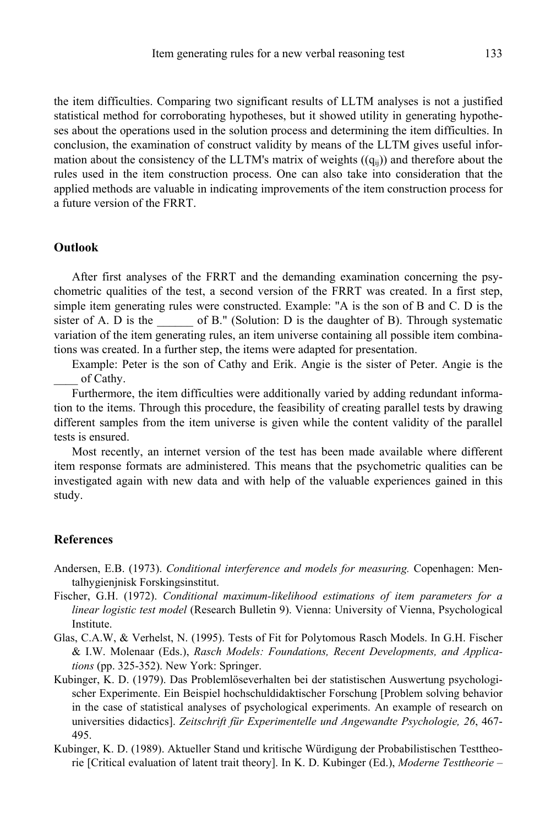the item difficulties. Comparing two significant results of LLTM analyses is not a justified statistical method for corroborating hypotheses, but it showed utility in generating hypotheses about the operations used in the solution process and determining the item difficulties. In conclusion, the examination of construct validity by means of the LLTM gives useful information about the consistency of the LLTM's matrix of weights  $((q_{ii}))$  and therefore about the rules used in the item construction process. One can also take into consideration that the applied methods are valuable in indicating improvements of the item construction process for a future version of the FRRT.

### **Outlook**

After first analyses of the FRRT and the demanding examination concerning the psychometric qualities of the test, a second version of the FRRT was created. In a first step, simple item generating rules were constructed. Example: "A is the son of B and C. D is the sister of A. D is the  $\qquad$  of B." (Solution: D is the daughter of B). Through systematic variation of the item generating rules, an item universe containing all possible item combinations was created. In a further step, the items were adapted for presentation.

Example: Peter is the son of Cathy and Erik. Angie is the sister of Peter. Angie is the of Cathy.

Furthermore, the item difficulties were additionally varied by adding redundant information to the items. Through this procedure, the feasibility of creating parallel tests by drawing different samples from the item universe is given while the content validity of the parallel tests is ensured.

Most recently, an internet version of the test has been made available where different item response formats are administered. This means that the psychometric qualities can be investigated again with new data and with help of the valuable experiences gained in this study.

#### **References**

- Andersen, E.B. (1973). *Conditional interference and models for measuring.* Copenhagen: Mentalhygienjnisk Forskingsinstitut.
- Fischer, G.H. (1972). *Conditional maximum-likelihood estimations of item parameters for a linear logistic test model* (Research Bulletin 9). Vienna: University of Vienna, Psychological Institute.
- Glas, C.A.W, & Verhelst, N. (1995). Tests of Fit for Polytomous Rasch Models. In G.H. Fischer & I.W. Molenaar (Eds.), *Rasch Models: Foundations, Recent Developments, and Applications* (pp. 325-352). New York: Springer.
- Kubinger, K. D. (1979). Das Problemlöseverhalten bei der statistischen Auswertung psychologischer Experimente. Ein Beispiel hochschuldidaktischer Forschung [Problem solving behavior in the case of statistical analyses of psychological experiments. An example of research on universities didactics]. *Zeitschrift für Experimentelle und Angewandte Psychologie, 26*, 467- 495.
- Kubinger, K. D. (1989). Aktueller Stand und kritische Würdigung der Probabilistischen Testtheorie [Critical evaluation of latent trait theory]. In K. D. Kubinger (Ed.), *Moderne Testtheorie –*